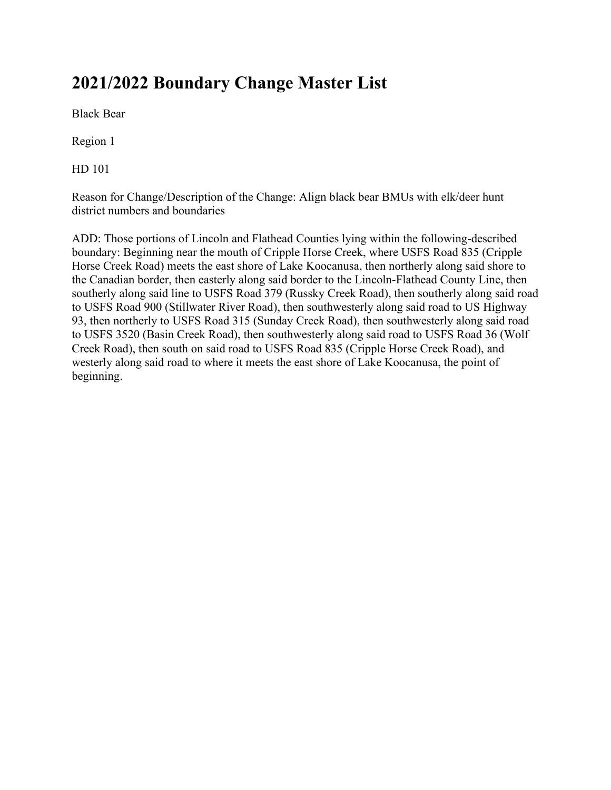# **2021/2022 Boundary Change Master List**

Black Bear

Region 1

HD 101

Reason for Change/Description of the Change: Align black bear BMUs with elk/deer hunt district numbers and boundaries

ADD: Those portions of Lincoln and Flathead Counties lying within the following-described boundary: Beginning near the mouth of Cripple Horse Creek, where USFS Road 835 (Cripple Horse Creek Road) meets the east shore of Lake Koocanusa, then northerly along said shore to the Canadian border, then easterly along said border to the Lincoln-Flathead County Line, then southerly along said line to USFS Road 379 (Russky Creek Road), then southerly along said road to USFS Road 900 (Stillwater River Road), then southwesterly along said road to US Highway 93, then northerly to USFS Road 315 (Sunday Creek Road), then southwesterly along said road to USFS 3520 (Basin Creek Road), then southwesterly along said road to USFS Road 36 (Wolf Creek Road), then south on said road to USFS Road 835 (Cripple Horse Creek Road), and westerly along said road to where it meets the east shore of Lake Koocanusa, the point of beginning.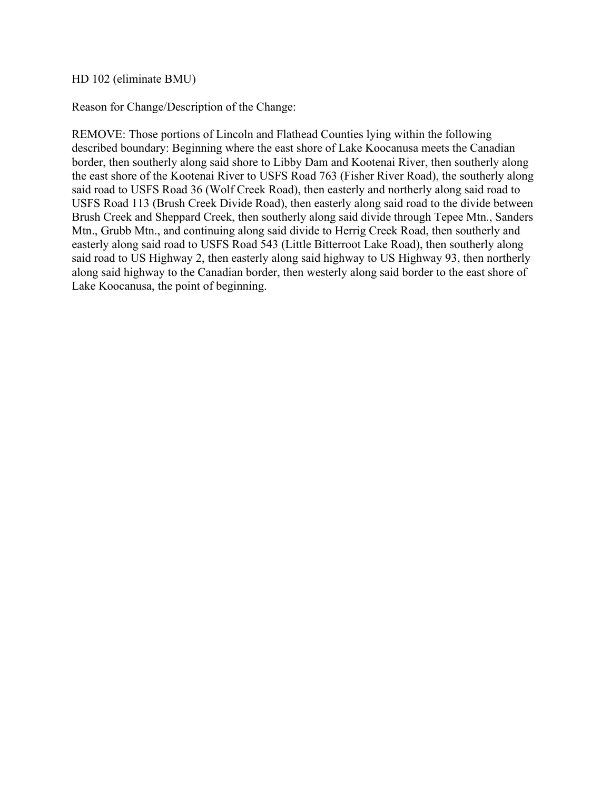HD 102 (eliminate BMU)

Reason for Change/Description of the Change:

REMOVE: Those portions of Lincoln and Flathead Counties lying within the following described boundary: Beginning where the east shore of Lake Koocanusa meets the Canadian border, then southerly along said shore to Libby Dam and Kootenai River, then southerly along the east shore of the Kootenai River to USFS Road 763 (Fisher River Road), the southerly along said road to USFS Road 36 (Wolf Creek Road), then easterly and northerly along said road to USFS Road 113 (Brush Creek Divide Road), then easterly along said road to the divide between Brush Creek and Sheppard Creek, then southerly along said divide through Tepee Mtn., Sanders Mtn., Grubb Mtn., and continuing along said divide to Herrig Creek Road, then southerly and easterly along said road to USFS Road 543 (Little Bitterroot Lake Road), then southerly along said road to US Highway 2, then easterly along said highway to US Highway 93, then northerly along said highway to the Canadian border, then westerly along said border to the east shore of Lake Koocanusa, the point of beginning.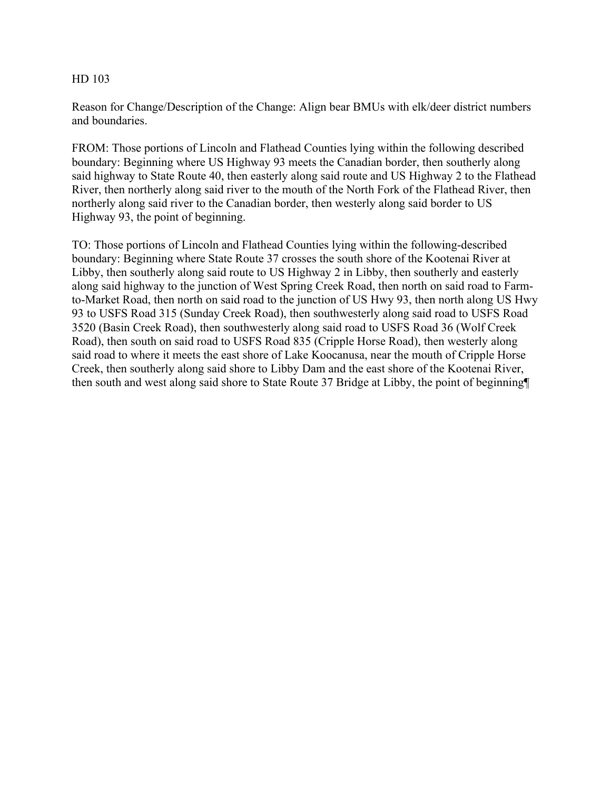Reason for Change/Description of the Change: Align bear BMUs with elk/deer district numbers and boundaries.

FROM: Those portions of Lincoln and Flathead Counties lying within the following described boundary: Beginning where US Highway 93 meets the Canadian border, then southerly along said highway to State Route 40, then easterly along said route and US Highway 2 to the Flathead River, then northerly along said river to the mouth of the North Fork of the Flathead River, then northerly along said river to the Canadian border, then westerly along said border to US Highway 93, the point of beginning.

TO: Those portions of Lincoln and Flathead Counties lying within the following-described boundary: Beginning where State Route 37 crosses the south shore of the Kootenai River at Libby, then southerly along said route to US Highway 2 in Libby, then southerly and easterly along said highway to the junction of West Spring Creek Road, then north on said road to Farmto-Market Road, then north on said road to the junction of US Hwy 93, then north along US Hwy 93 to USFS Road 315 (Sunday Creek Road), then southwesterly along said road to USFS Road 3520 (Basin Creek Road), then southwesterly along said road to USFS Road 36 (Wolf Creek Road), then south on said road to USFS Road 835 (Cripple Horse Road), then westerly along said road to where it meets the east shore of Lake Koocanusa, near the mouth of Cripple Horse Creek, then southerly along said shore to Libby Dam and the east shore of the Kootenai River, then south and west along said shore to State Route 37 Bridge at Libby, the point of beginning¶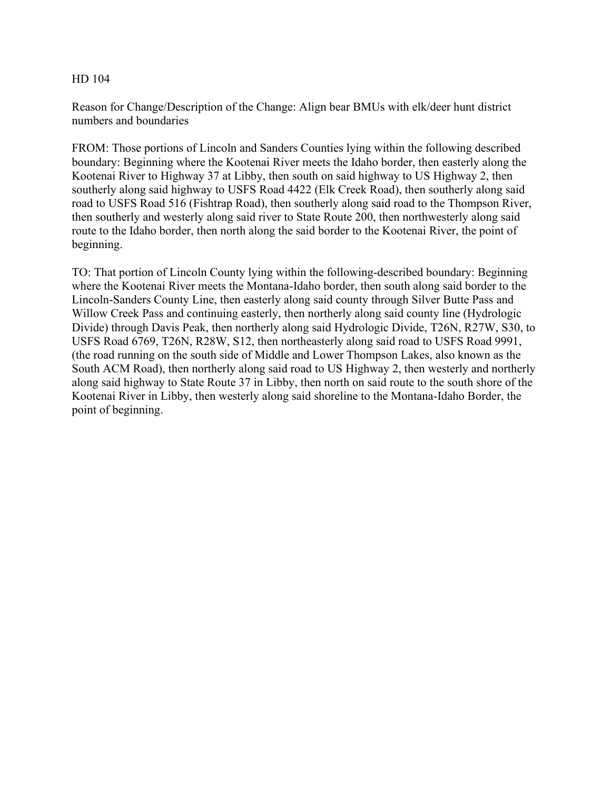Reason for Change/Description of the Change: Align bear BMUs with elk/deer hunt district numbers and boundaries

FROM: Those portions of Lincoln and Sanders Counties lying within the following described boundary: Beginning where the Kootenai River meets the Idaho border, then easterly along the Kootenai River to Highway 37 at Libby, then south on said highway to US Highway 2, then southerly along said highway to USFS Road 4422 (Elk Creek Road), then southerly along said road to USFS Road 516 (Fishtrap Road), then southerly along said road to the Thompson River, then southerly and westerly along said river to State Route 200, then northwesterly along said route to the Idaho border, then north along the said border to the Kootenai River, the point of beginning.

TO: That portion of Lincoln County lying within the following-described boundary: Beginning where the Kootenai River meets the Montana-Idaho border, then south along said border to the Lincoln-Sanders County Line, then easterly along said county through Silver Butte Pass and Willow Creek Pass and continuing easterly, then northerly along said county line (Hydrologic Divide) through Davis Peak, then northerly along said Hydrologic Divide, T26N, R27W, S30, to USFS Road 6769, T26N, R28W, S12, then northeasterly along said road to USFS Road 9991, (the road running on the south side of Middle and Lower Thompson Lakes, also known as the South ACM Road), then northerly along said road to US Highway 2, then westerly and northerly along said highway to State Route 37 in Libby, then north on said route to the south shore of the Kootenai River in Libby, then westerly along said shoreline to the Montana-Idaho Border, the point of beginning.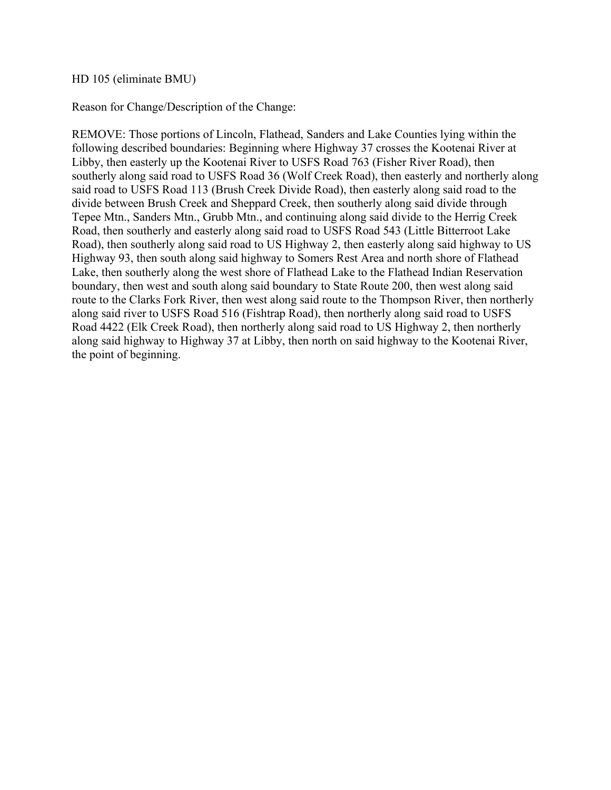## HD 105 (eliminate BMU)

Reason for Change/Description of the Change:

REMOVE: Those portions of Lincoln, Flathead, Sanders and Lake Counties lying within the following described boundaries: Beginning where Highway 37 crosses the Kootenai River at Libby, then easterly up the Kootenai River to USFS Road 763 (Fisher River Road), then southerly along said road to USFS Road 36 (Wolf Creek Road), then easterly and northerly along said road to USFS Road 113 (Brush Creek Divide Road), then easterly along said road to the divide between Brush Creek and Sheppard Creek, then southerly along said divide through Tepee Mtn., Sanders Mtn., Grubb Mtn., and continuing along said divide to the Herrig Creek Road, then southerly and easterly along said road to USFS Road 543 (Little Bitterroot Lake Road), then southerly along said road to US Highway 2, then easterly along said highway to US Highway 93, then south along said highway to Somers Rest Area and north shore of Flathead Lake, then southerly along the west shore of Flathead Lake to the Flathead Indian Reservation boundary, then west and south along said boundary to State Route 200, then west along said route to the Clarks Fork River, then west along said route to the Thompson River, then northerly along said river to USFS Road 516 (Fishtrap Road), then northerly along said road to USFS Road 4422 (Elk Creek Road), then northerly along said road to US Highway 2, then northerly along said highway to Highway 37 at Libby, then north on said highway to the Kootenai River, the point of beginning.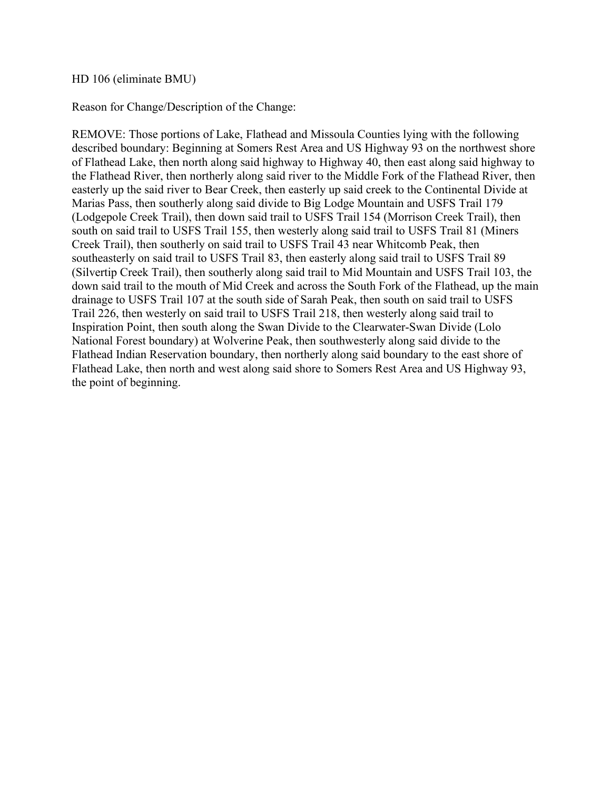#### HD 106 (eliminate BMU)

Reason for Change/Description of the Change:

REMOVE: Those portions of Lake, Flathead and Missoula Counties lying with the following described boundary: Beginning at Somers Rest Area and US Highway 93 on the northwest shore of Flathead Lake, then north along said highway to Highway 40, then east along said highway to the Flathead River, then northerly along said river to the Middle Fork of the Flathead River, then easterly up the said river to Bear Creek, then easterly up said creek to the Continental Divide at Marias Pass, then southerly along said divide to Big Lodge Mountain and USFS Trail 179 (Lodgepole Creek Trail), then down said trail to USFS Trail 154 (Morrison Creek Trail), then south on said trail to USFS Trail 155, then westerly along said trail to USFS Trail 81 (Miners Creek Trail), then southerly on said trail to USFS Trail 43 near Whitcomb Peak, then southeasterly on said trail to USFS Trail 83, then easterly along said trail to USFS Trail 89 (Silvertip Creek Trail), then southerly along said trail to Mid Mountain and USFS Trail 103, the down said trail to the mouth of Mid Creek and across the South Fork of the Flathead, up the main drainage to USFS Trail 107 at the south side of Sarah Peak, then south on said trail to USFS Trail 226, then westerly on said trail to USFS Trail 218, then westerly along said trail to Inspiration Point, then south along the Swan Divide to the Clearwater-Swan Divide (Lolo National Forest boundary) at Wolverine Peak, then southwesterly along said divide to the Flathead Indian Reservation boundary, then northerly along said boundary to the east shore of Flathead Lake, then north and west along said shore to Somers Rest Area and US Highway 93, the point of beginning.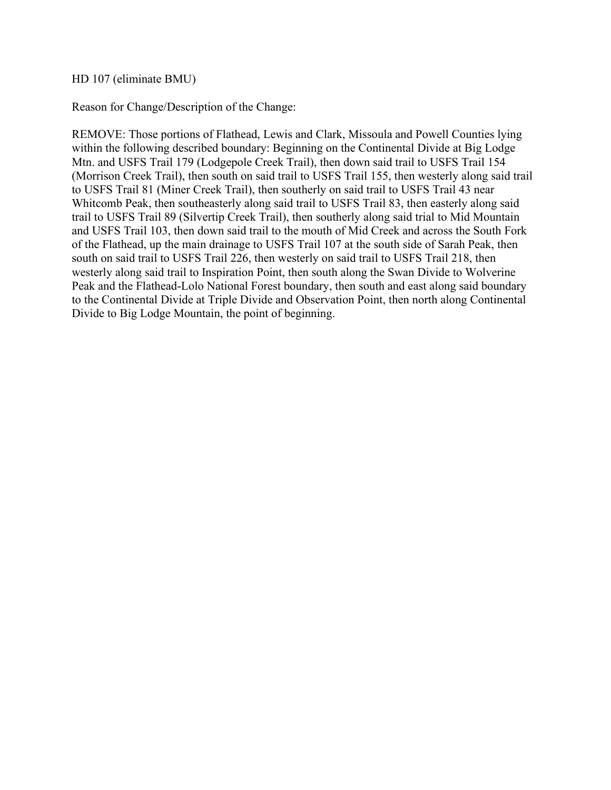# HD 107 (eliminate BMU)

Reason for Change/Description of the Change:

REMOVE: Those portions of Flathead, Lewis and Clark, Missoula and Powell Counties lying within the following described boundary: Beginning on the Continental Divide at Big Lodge Mtn. and USFS Trail 179 (Lodgepole Creek Trail), then down said trail to USFS Trail 154 (Morrison Creek Trail), then south on said trail to USFS Trail 155, then westerly along said trail to USFS Trail 81 (Miner Creek Trail), then southerly on said trail to USFS Trail 43 near Whitcomb Peak, then southeasterly along said trail to USFS Trail 83, then easterly along said trail to USFS Trail 89 (Silvertip Creek Trail), then southerly along said trial to Mid Mountain and USFS Trail 103, then down said trail to the mouth of Mid Creek and across the South Fork of the Flathead, up the main drainage to USFS Trail 107 at the south side of Sarah Peak, then south on said trail to USFS Trail 226, then westerly on said trail to USFS Trail 218, then westerly along said trail to Inspiration Point, then south along the Swan Divide to Wolverine Peak and the Flathead-Lolo National Forest boundary, then south and east along said boundary to the Continental Divide at Triple Divide and Observation Point, then north along Continental Divide to Big Lodge Mountain, the point of beginning.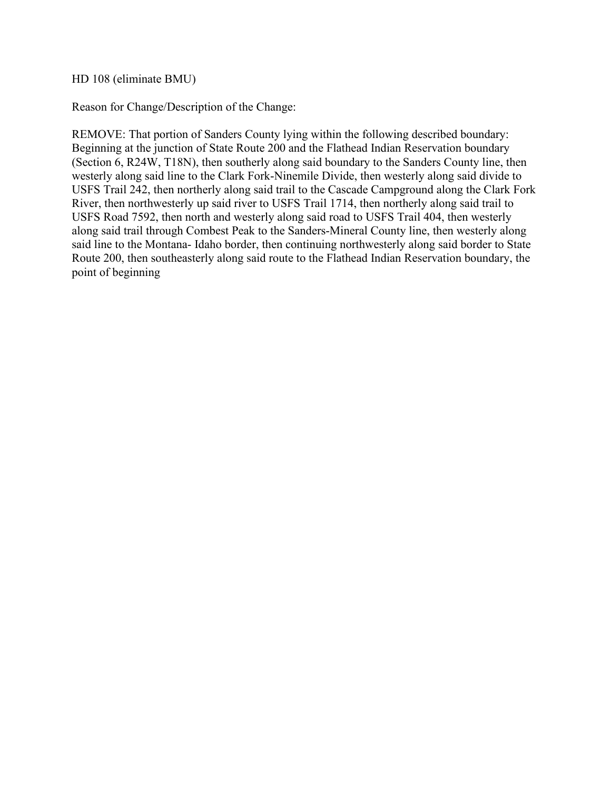HD 108 (eliminate BMU)

Reason for Change/Description of the Change:

REMOVE: That portion of Sanders County lying within the following described boundary: Beginning at the junction of State Route 200 and the Flathead Indian Reservation boundary (Section 6, R24W, T18N), then southerly along said boundary to the Sanders County line, then westerly along said line to the Clark Fork-Ninemile Divide, then westerly along said divide to USFS Trail 242, then northerly along said trail to the Cascade Campground along the Clark Fork River, then northwesterly up said river to USFS Trail 1714, then northerly along said trail to USFS Road 7592, then north and westerly along said road to USFS Trail 404, then westerly along said trail through Combest Peak to the Sanders-Mineral County line, then westerly along said line to the Montana- Idaho border, then continuing northwesterly along said border to State Route 200, then southeasterly along said route to the Flathead Indian Reservation boundary, the point of beginning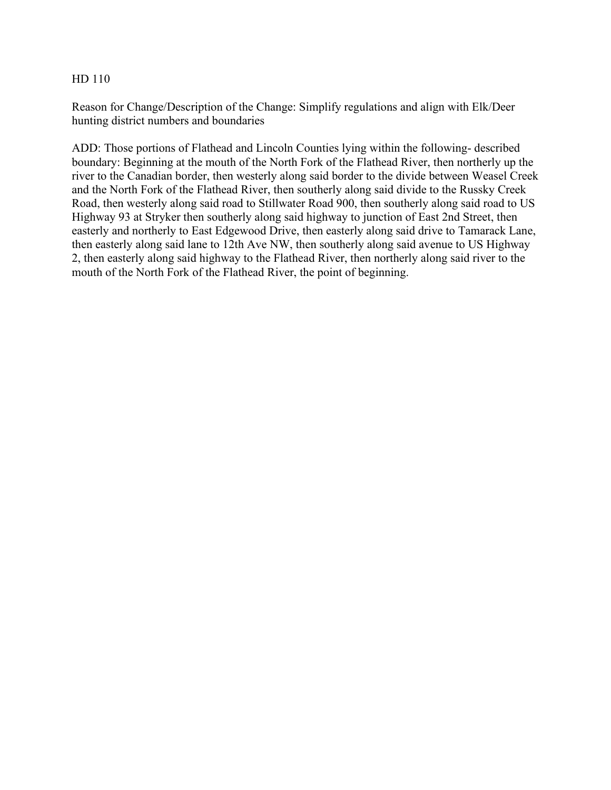Reason for Change/Description of the Change: Simplify regulations and align with Elk/Deer hunting district numbers and boundaries

ADD: Those portions of Flathead and Lincoln Counties lying within the following- described boundary: Beginning at the mouth of the North Fork of the Flathead River, then northerly up the river to the Canadian border, then westerly along said border to the divide between Weasel Creek and the North Fork of the Flathead River, then southerly along said divide to the Russky Creek Road, then westerly along said road to Stillwater Road 900, then southerly along said road to US Highway 93 at Stryker then southerly along said highway to junction of East 2nd Street, then easterly and northerly to East Edgewood Drive, then easterly along said drive to Tamarack Lane, then easterly along said lane to 12th Ave NW, then southerly along said avenue to US Highway 2, then easterly along said highway to the Flathead River, then northerly along said river to the mouth of the North Fork of the Flathead River, the point of beginning.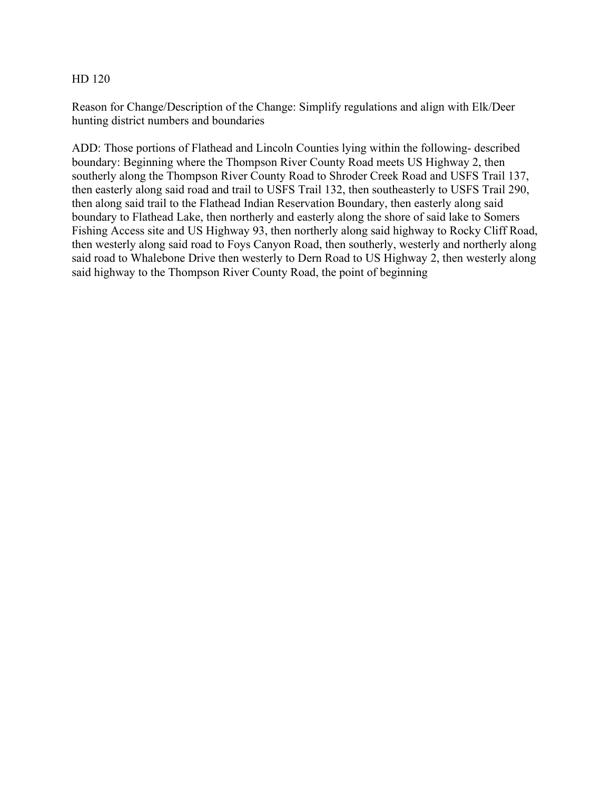Reason for Change/Description of the Change: Simplify regulations and align with Elk/Deer hunting district numbers and boundaries

ADD: Those portions of Flathead and Lincoln Counties lying within the following- described boundary: Beginning where the Thompson River County Road meets US Highway 2, then southerly along the Thompson River County Road to Shroder Creek Road and USFS Trail 137, then easterly along said road and trail to USFS Trail 132, then southeasterly to USFS Trail 290, then along said trail to the Flathead Indian Reservation Boundary, then easterly along said boundary to Flathead Lake, then northerly and easterly along the shore of said lake to Somers Fishing Access site and US Highway 93, then northerly along said highway to Rocky Cliff Road, then westerly along said road to Foys Canyon Road, then southerly, westerly and northerly along said road to Whalebone Drive then westerly to Dern Road to US Highway 2, then westerly along said highway to the Thompson River County Road, the point of beginning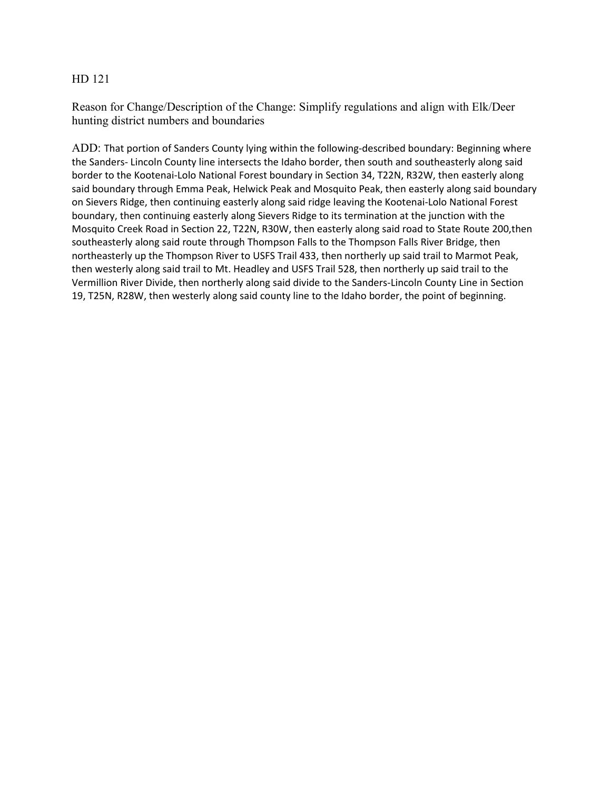Reason for Change/Description of the Change: Simplify regulations and align with Elk/Deer hunting district numbers and boundaries

ADD: That portion of Sanders County lying within the following-described boundary: Beginning where the Sanders- Lincoln County line intersects the Idaho border, then south and southeasterly along said border to the Kootenai-Lolo National Forest boundary in Section 34, T22N, R32W, then easterly along said boundary through Emma Peak, Helwick Peak and Mosquito Peak, then easterly along said boundary on Sievers Ridge, then continuing easterly along said ridge leaving the Kootenai-Lolo National Forest boundary, then continuing easterly along Sievers Ridge to its termination at the junction with the Mosquito Creek Road in Section 22, T22N, R30W, then easterly along said road to State Route 200,then southeasterly along said route through Thompson Falls to the Thompson Falls River Bridge, then northeasterly up the Thompson River to USFS Trail 433, then northerly up said trail to Marmot Peak, then westerly along said trail to Mt. Headley and USFS Trail 528, then northerly up said trail to the Vermillion River Divide, then northerly along said divide to the Sanders-Lincoln County Line in Section 19, T25N, R28W, then westerly along said county line to the Idaho border, the point of beginning.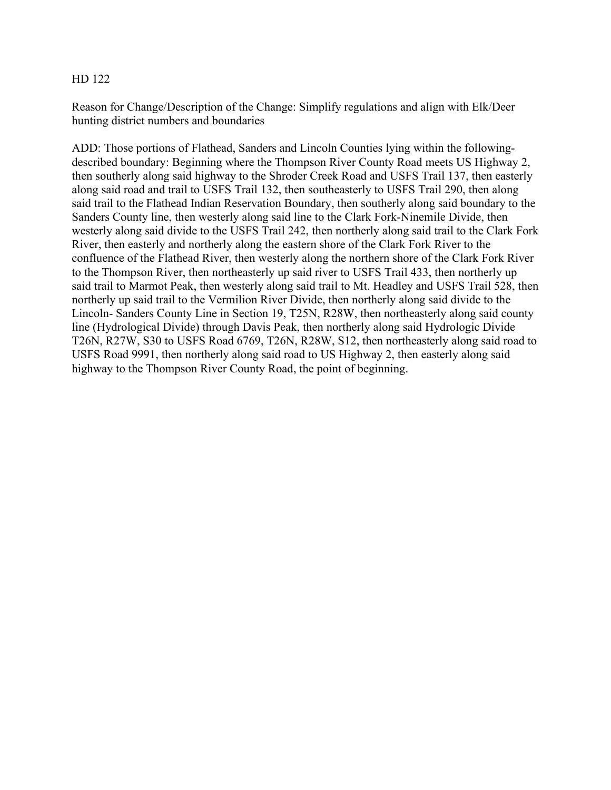Reason for Change/Description of the Change: Simplify regulations and align with Elk/Deer hunting district numbers and boundaries

ADD: Those portions of Flathead, Sanders and Lincoln Counties lying within the followingdescribed boundary: Beginning where the Thompson River County Road meets US Highway 2, then southerly along said highway to the Shroder Creek Road and USFS Trail 137, then easterly along said road and trail to USFS Trail 132, then southeasterly to USFS Trail 290, then along said trail to the Flathead Indian Reservation Boundary, then southerly along said boundary to the Sanders County line, then westerly along said line to the Clark Fork-Ninemile Divide, then westerly along said divide to the USFS Trail 242, then northerly along said trail to the Clark Fork River, then easterly and northerly along the eastern shore of the Clark Fork River to the confluence of the Flathead River, then westerly along the northern shore of the Clark Fork River to the Thompson River, then northeasterly up said river to USFS Trail 433, then northerly up said trail to Marmot Peak, then westerly along said trail to Mt. Headley and USFS Trail 528, then northerly up said trail to the Vermilion River Divide, then northerly along said divide to the Lincoln- Sanders County Line in Section 19, T25N, R28W, then northeasterly along said county line (Hydrological Divide) through Davis Peak, then northerly along said Hydrologic Divide T26N, R27W, S30 to USFS Road 6769, T26N, R28W, S12, then northeasterly along said road to USFS Road 9991, then northerly along said road to US Highway 2, then easterly along said highway to the Thompson River County Road, the point of beginning.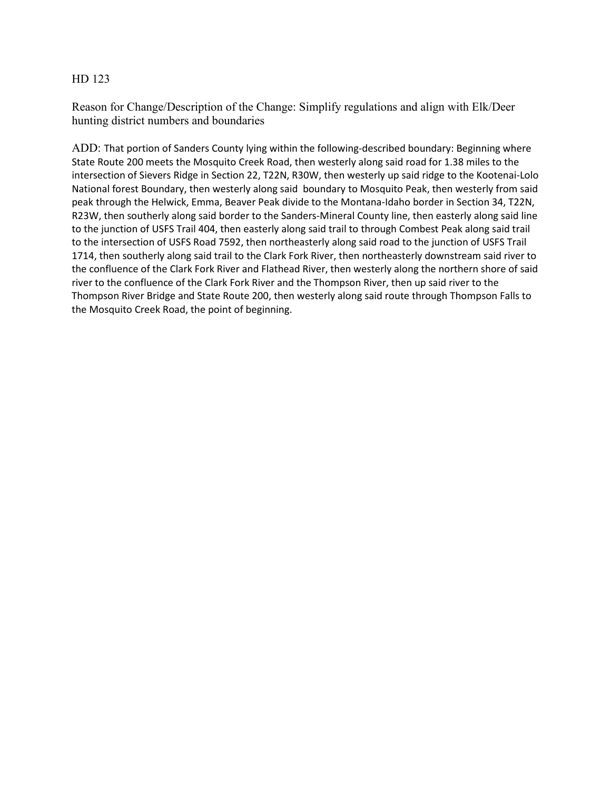Reason for Change/Description of the Change: Simplify regulations and align with Elk/Deer hunting district numbers and boundaries

ADD: That portion of Sanders County lying within the following-described boundary: Beginning where State Route 200 meets the Mosquito Creek Road, then westerly along said road for 1.38 miles to the intersection of Sievers Ridge in Section 22, T22N, R30W, then westerly up said ridge to the Kootenai-Lolo National forest Boundary, then westerly along said boundary to Mosquito Peak, then westerly from said peak through the Helwick, Emma, Beaver Peak divide to the Montana-Idaho border in Section 34, T22N, R23W, then southerly along said border to the Sanders-Mineral County line, then easterly along said line to the junction of USFS Trail 404, then easterly along said trail to through Combest Peak along said trail to the intersection of USFS Road 7592, then northeasterly along said road to the junction of USFS Trail 1714, then southerly along said trail to the Clark Fork River, then northeasterly downstream said river to the confluence of the Clark Fork River and Flathead River, then westerly along the northern shore of said river to the confluence of the Clark Fork River and the Thompson River, then up said river to the Thompson River Bridge and State Route 200, then westerly along said route through Thompson Falls to the Mosquito Creek Road, the point of beginning.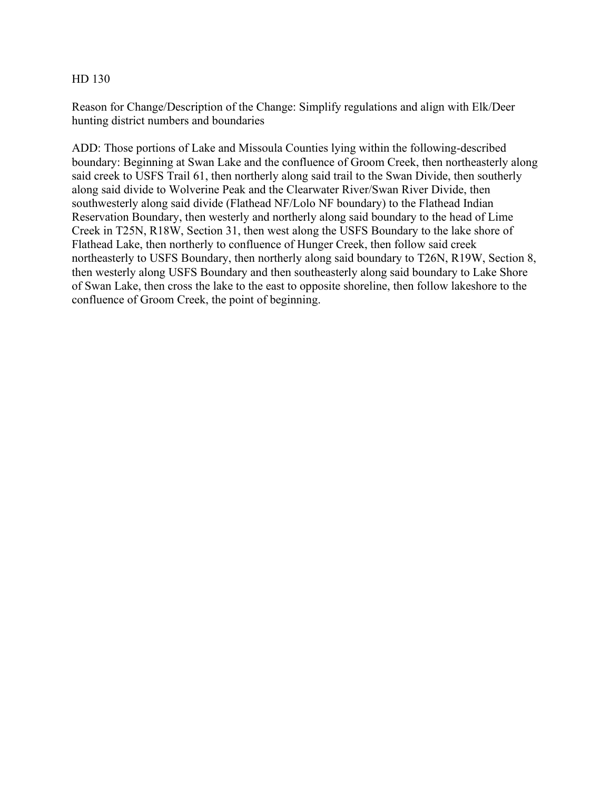Reason for Change/Description of the Change: Simplify regulations and align with Elk/Deer hunting district numbers and boundaries

ADD: Those portions of Lake and Missoula Counties lying within the following-described boundary: Beginning at Swan Lake and the confluence of Groom Creek, then northeasterly along said creek to USFS Trail 61, then northerly along said trail to the Swan Divide, then southerly along said divide to Wolverine Peak and the Clearwater River/Swan River Divide, then southwesterly along said divide (Flathead NF/Lolo NF boundary) to the Flathead Indian Reservation Boundary, then westerly and northerly along said boundary to the head of Lime Creek in T25N, R18W, Section 31, then west along the USFS Boundary to the lake shore of Flathead Lake, then northerly to confluence of Hunger Creek, then follow said creek northeasterly to USFS Boundary, then northerly along said boundary to T26N, R19W, Section 8, then westerly along USFS Boundary and then southeasterly along said boundary to Lake Shore of Swan Lake, then cross the lake to the east to opposite shoreline, then follow lakeshore to the confluence of Groom Creek, the point of beginning.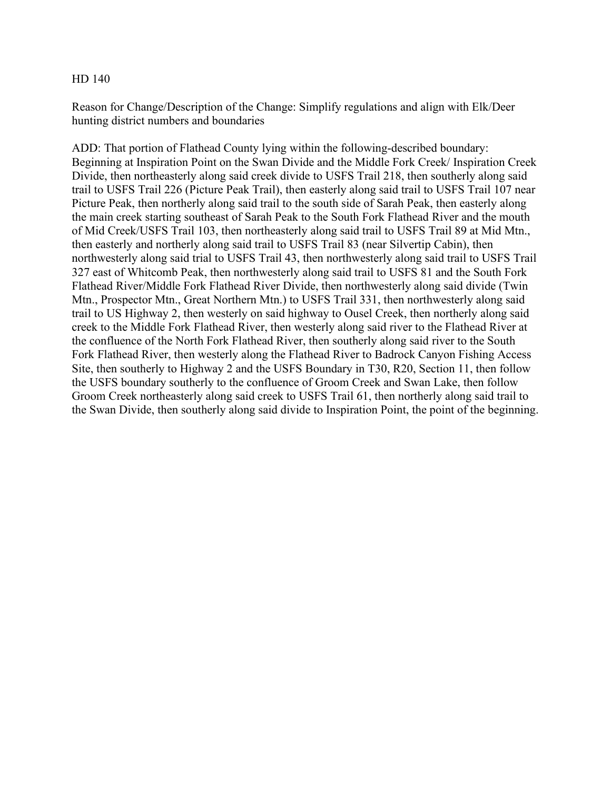Reason for Change/Description of the Change: Simplify regulations and align with Elk/Deer hunting district numbers and boundaries

ADD: That portion of Flathead County lying within the following-described boundary: Beginning at Inspiration Point on the Swan Divide and the Middle Fork Creek/ Inspiration Creek Divide, then northeasterly along said creek divide to USFS Trail 218, then southerly along said trail to USFS Trail 226 (Picture Peak Trail), then easterly along said trail to USFS Trail 107 near Picture Peak, then northerly along said trail to the south side of Sarah Peak, then easterly along the main creek starting southeast of Sarah Peak to the South Fork Flathead River and the mouth of Mid Creek/USFS Trail 103, then northeasterly along said trail to USFS Trail 89 at Mid Mtn., then easterly and northerly along said trail to USFS Trail 83 (near Silvertip Cabin), then northwesterly along said trial to USFS Trail 43, then northwesterly along said trail to USFS Trail 327 east of Whitcomb Peak, then northwesterly along said trail to USFS 81 and the South Fork Flathead River/Middle Fork Flathead River Divide, then northwesterly along said divide (Twin Mtn., Prospector Mtn., Great Northern Mtn.) to USFS Trail 331, then northwesterly along said trail to US Highway 2, then westerly on said highway to Ousel Creek, then northerly along said creek to the Middle Fork Flathead River, then westerly along said river to the Flathead River at the confluence of the North Fork Flathead River, then southerly along said river to the South Fork Flathead River, then westerly along the Flathead River to Badrock Canyon Fishing Access Site, then southerly to Highway 2 and the USFS Boundary in T30, R20, Section 11, then follow the USFS boundary southerly to the confluence of Groom Creek and Swan Lake, then follow Groom Creek northeasterly along said creek to USFS Trail 61, then northerly along said trail to the Swan Divide, then southerly along said divide to Inspiration Point, the point of the beginning.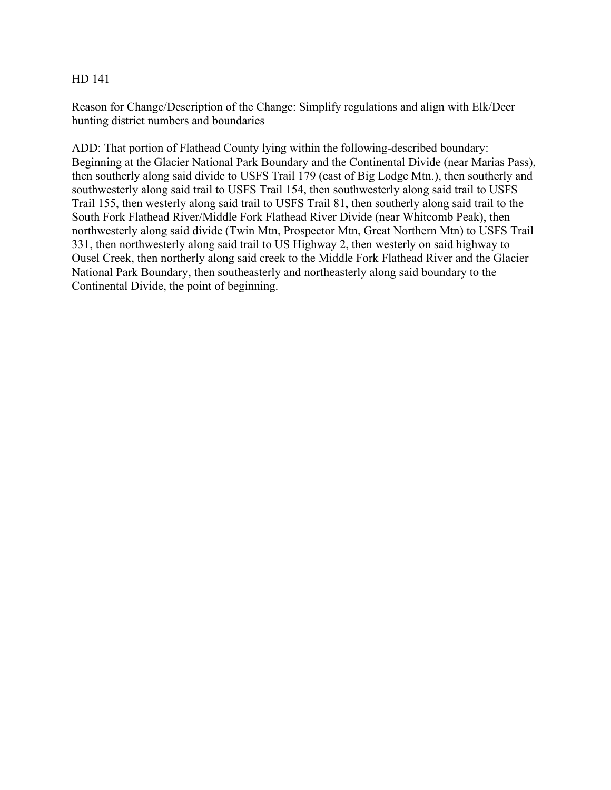Reason for Change/Description of the Change: Simplify regulations and align with Elk/Deer hunting district numbers and boundaries

ADD: That portion of Flathead County lying within the following-described boundary: Beginning at the Glacier National Park Boundary and the Continental Divide (near Marias Pass), then southerly along said divide to USFS Trail 179 (east of Big Lodge Mtn.), then southerly and southwesterly along said trail to USFS Trail 154, then southwesterly along said trail to USFS Trail 155, then westerly along said trail to USFS Trail 81, then southerly along said trail to the South Fork Flathead River/Middle Fork Flathead River Divide (near Whitcomb Peak), then northwesterly along said divide (Twin Mtn, Prospector Mtn, Great Northern Mtn) to USFS Trail 331, then northwesterly along said trail to US Highway 2, then westerly on said highway to Ousel Creek, then northerly along said creek to the Middle Fork Flathead River and the Glacier National Park Boundary, then southeasterly and northeasterly along said boundary to the Continental Divide, the point of beginning.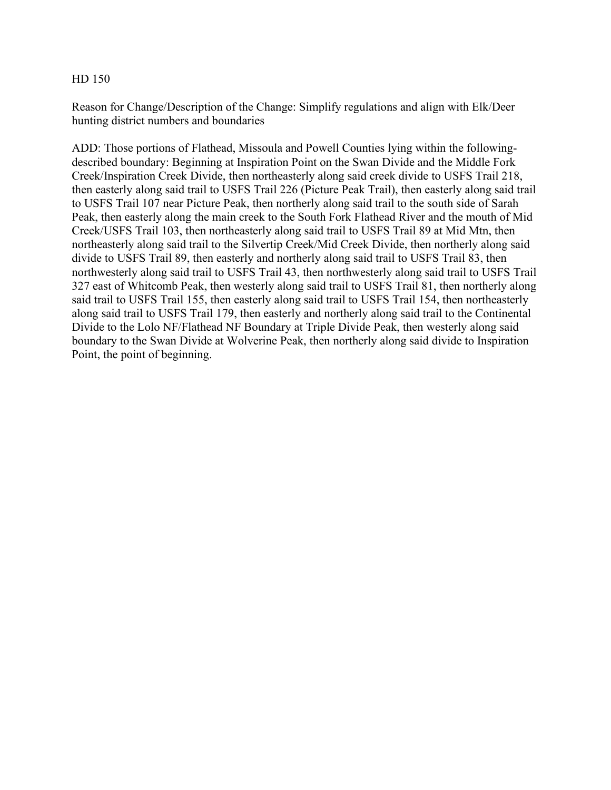Reason for Change/Description of the Change: Simplify regulations and align with Elk/Deer hunting district numbers and boundaries

ADD: Those portions of Flathead, Missoula and Powell Counties lying within the followingdescribed boundary: Beginning at Inspiration Point on the Swan Divide and the Middle Fork Creek/Inspiration Creek Divide, then northeasterly along said creek divide to USFS Trail 218, then easterly along said trail to USFS Trail 226 (Picture Peak Trail), then easterly along said trail to USFS Trail 107 near Picture Peak, then northerly along said trail to the south side of Sarah Peak, then easterly along the main creek to the South Fork Flathead River and the mouth of Mid Creek/USFS Trail 103, then northeasterly along said trail to USFS Trail 89 at Mid Mtn, then northeasterly along said trail to the Silvertip Creek/Mid Creek Divide, then northerly along said divide to USFS Trail 89, then easterly and northerly along said trail to USFS Trail 83, then northwesterly along said trail to USFS Trail 43, then northwesterly along said trail to USFS Trail 327 east of Whitcomb Peak, then westerly along said trail to USFS Trail 81, then northerly along said trail to USFS Trail 155, then easterly along said trail to USFS Trail 154, then northeasterly along said trail to USFS Trail 179, then easterly and northerly along said trail to the Continental Divide to the Lolo NF/Flathead NF Boundary at Triple Divide Peak, then westerly along said boundary to the Swan Divide at Wolverine Peak, then northerly along said divide to Inspiration Point, the point of beginning.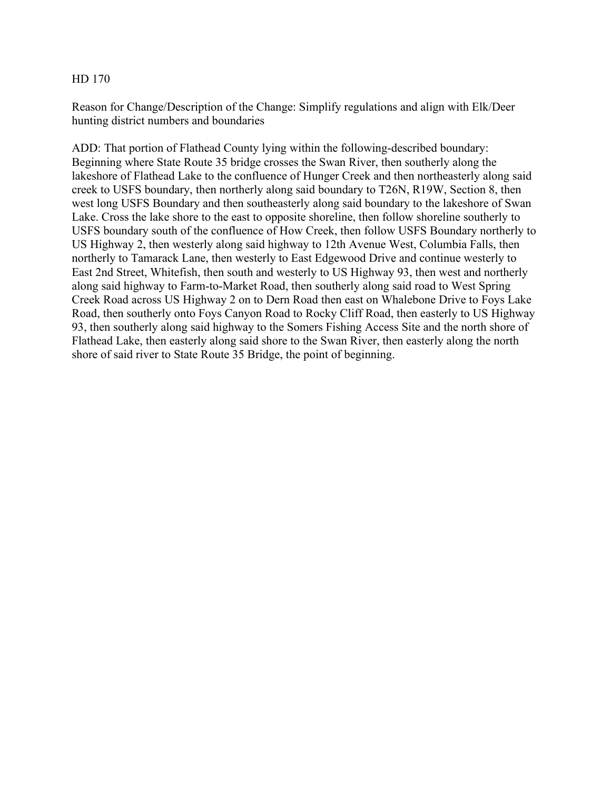Reason for Change/Description of the Change: Simplify regulations and align with Elk/Deer hunting district numbers and boundaries

ADD: That portion of Flathead County lying within the following-described boundary: Beginning where State Route 35 bridge crosses the Swan River, then southerly along the lakeshore of Flathead Lake to the confluence of Hunger Creek and then northeasterly along said creek to USFS boundary, then northerly along said boundary to T26N, R19W, Section 8, then west long USFS Boundary and then southeasterly along said boundary to the lakeshore of Swan Lake. Cross the lake shore to the east to opposite shoreline, then follow shoreline southerly to USFS boundary south of the confluence of How Creek, then follow USFS Boundary northerly to US Highway 2, then westerly along said highway to 12th Avenue West, Columbia Falls, then northerly to Tamarack Lane, then westerly to East Edgewood Drive and continue westerly to East 2nd Street, Whitefish, then south and westerly to US Highway 93, then west and northerly along said highway to Farm-to-Market Road, then southerly along said road to West Spring Creek Road across US Highway 2 on to Dern Road then east on Whalebone Drive to Foys Lake Road, then southerly onto Foys Canyon Road to Rocky Cliff Road, then easterly to US Highway 93, then southerly along said highway to the Somers Fishing Access Site and the north shore of Flathead Lake, then easterly along said shore to the Swan River, then easterly along the north shore of said river to State Route 35 Bridge, the point of beginning.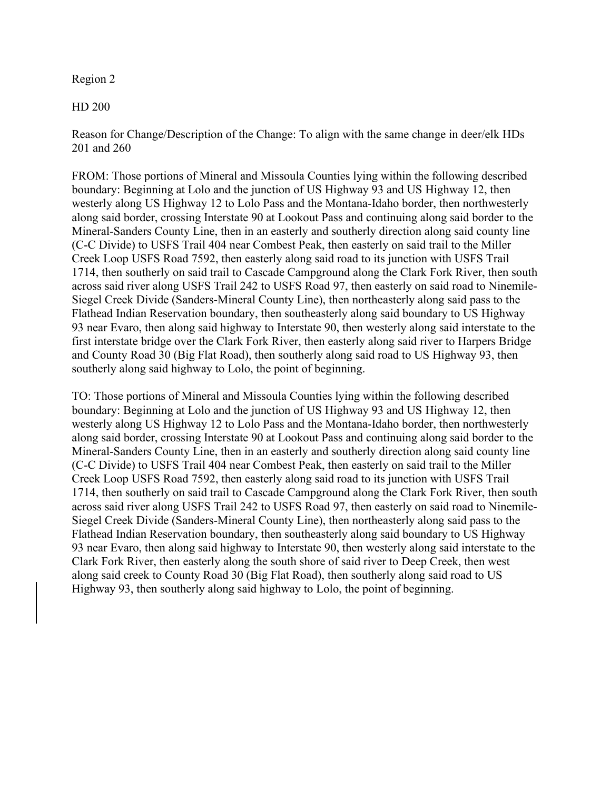# Region 2

HD 200

Reason for Change/Description of the Change: To align with the same change in deer/elk HDs 201 and 260

FROM: Those portions of Mineral and Missoula Counties lying within the following described boundary: Beginning at Lolo and the junction of US Highway 93 and US Highway 12, then westerly along US Highway 12 to Lolo Pass and the Montana-Idaho border, then northwesterly along said border, crossing Interstate 90 at Lookout Pass and continuing along said border to the Mineral-Sanders County Line, then in an easterly and southerly direction along said county line (C-C Divide) to USFS Trail 404 near Combest Peak, then easterly on said trail to the Miller Creek Loop USFS Road 7592, then easterly along said road to its junction with USFS Trail 1714, then southerly on said trail to Cascade Campground along the Clark Fork River, then south across said river along USFS Trail 242 to USFS Road 97, then easterly on said road to Ninemile-Siegel Creek Divide (Sanders-Mineral County Line), then northeasterly along said pass to the Flathead Indian Reservation boundary, then southeasterly along said boundary to US Highway 93 near Evaro, then along said highway to Interstate 90, then westerly along said interstate to the first interstate bridge over the Clark Fork River, then easterly along said river to Harpers Bridge and County Road 30 (Big Flat Road), then southerly along said road to US Highway 93, then southerly along said highway to Lolo, the point of beginning.

TO: Those portions of Mineral and Missoula Counties lying within the following described boundary: Beginning at Lolo and the junction of US Highway 93 and US Highway 12, then westerly along US Highway 12 to Lolo Pass and the Montana-Idaho border, then northwesterly along said border, crossing Interstate 90 at Lookout Pass and continuing along said border to the Mineral-Sanders County Line, then in an easterly and southerly direction along said county line (C-C Divide) to USFS Trail 404 near Combest Peak, then easterly on said trail to the Miller Creek Loop USFS Road 7592, then easterly along said road to its junction with USFS Trail 1714, then southerly on said trail to Cascade Campground along the Clark Fork River, then south across said river along USFS Trail 242 to USFS Road 97, then easterly on said road to Ninemile-Siegel Creek Divide (Sanders-Mineral County Line), then northeasterly along said pass to the Flathead Indian Reservation boundary, then southeasterly along said boundary to US Highway 93 near Evaro, then along said highway to Interstate 90, then westerly along said interstate to the Clark Fork River, then easterly along the south shore of said river to Deep Creek, then west along said creek to County Road 30 (Big Flat Road), then southerly along said road to US Highway 93, then southerly along said highway to Lolo, the point of beginning.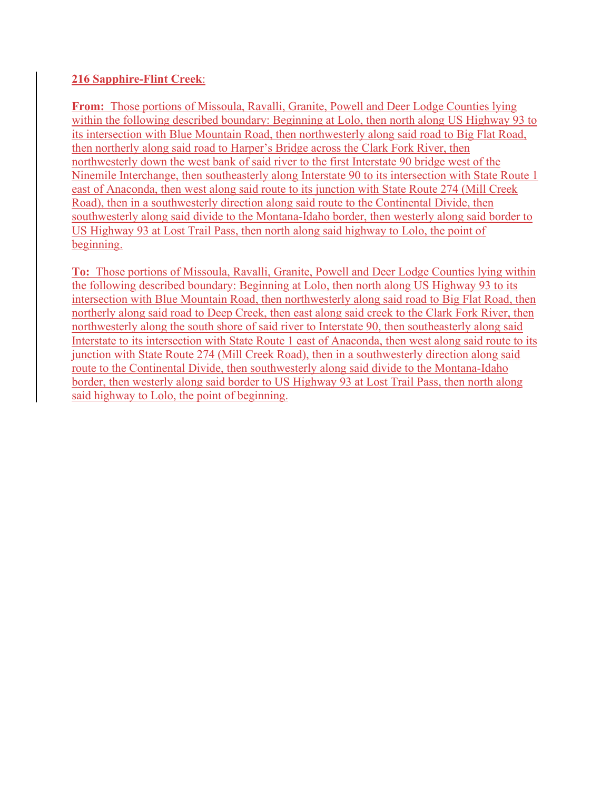# **216 Sapphire-Flint Creek**:

**From:** Those portions of Missoula, Ravalli, Granite, Powell and Deer Lodge Counties lying within the following described boundary: Beginning at Lolo, then north along US Highway 93 to its intersection with Blue Mountain Road, then northwesterly along said road to Big Flat Road, then northerly along said road to Harper's Bridge across the Clark Fork River, then northwesterly down the west bank of said river to the first Interstate 90 bridge west of the Ninemile Interchange, then southeasterly along Interstate 90 to its intersection with State Route 1 east of Anaconda, then west along said route to its junction with State Route 274 (Mill Creek Road), then in a southwesterly direction along said route to the Continental Divide, then southwesterly along said divide to the Montana-Idaho border, then westerly along said border to US Highway 93 at Lost Trail Pass, then north along said highway to Lolo, the point of beginning.

**To:** Those portions of Missoula, Ravalli, Granite, Powell and Deer Lodge Counties lying within the following described boundary: Beginning at Lolo, then north along US Highway 93 to its intersection with Blue Mountain Road, then northwesterly along said road to Big Flat Road, then northerly along said road to Deep Creek, then east along said creek to the Clark Fork River, then northwesterly along the south shore of said river to Interstate 90, then southeasterly along said Interstate to its intersection with State Route 1 east of Anaconda, then west along said route to its junction with State Route 274 (Mill Creek Road), then in a southwesterly direction along said route to the Continental Divide, then southwesterly along said divide to the Montana-Idaho border, then westerly along said border to US Highway 93 at Lost Trail Pass, then north along said highway to Lolo, the point of beginning.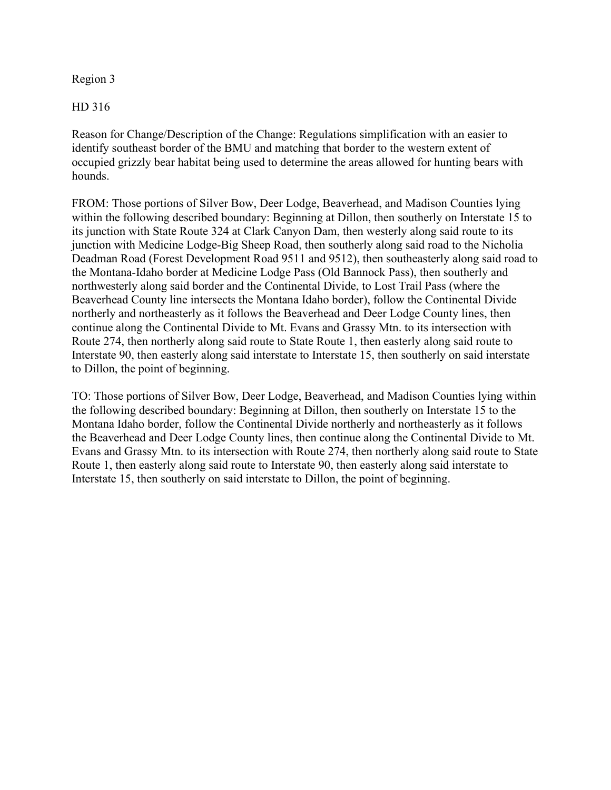Region 3

HD 316

Reason for Change/Description of the Change: Regulations simplification with an easier to identify southeast border of the BMU and matching that border to the western extent of occupied grizzly bear habitat being used to determine the areas allowed for hunting bears with hounds.

FROM: Those portions of Silver Bow, Deer Lodge, Beaverhead, and Madison Counties lying within the following described boundary: Beginning at Dillon, then southerly on Interstate 15 to its junction with State Route 324 at Clark Canyon Dam, then westerly along said route to its junction with Medicine Lodge-Big Sheep Road, then southerly along said road to the Nicholia Deadman Road (Forest Development Road 9511 and 9512), then southeasterly along said road to the Montana-Idaho border at Medicine Lodge Pass (Old Bannock Pass), then southerly and northwesterly along said border and the Continental Divide, to Lost Trail Pass (where the Beaverhead County line intersects the Montana Idaho border), follow the Continental Divide northerly and northeasterly as it follows the Beaverhead and Deer Lodge County lines, then continue along the Continental Divide to Mt. Evans and Grassy Mtn. to its intersection with Route 274, then northerly along said route to State Route 1, then easterly along said route to Interstate 90, then easterly along said interstate to Interstate 15, then southerly on said interstate to Dillon, the point of beginning.

TO: Those portions of Silver Bow, Deer Lodge, Beaverhead, and Madison Counties lying within the following described boundary: Beginning at Dillon, then southerly on Interstate 15 to the Montana Idaho border, follow the Continental Divide northerly and northeasterly as it follows the Beaverhead and Deer Lodge County lines, then continue along the Continental Divide to Mt. Evans and Grassy Mtn. to its intersection with Route 274, then northerly along said route to State Route 1, then easterly along said route to Interstate 90, then easterly along said interstate to Interstate 15, then southerly on said interstate to Dillon, the point of beginning.